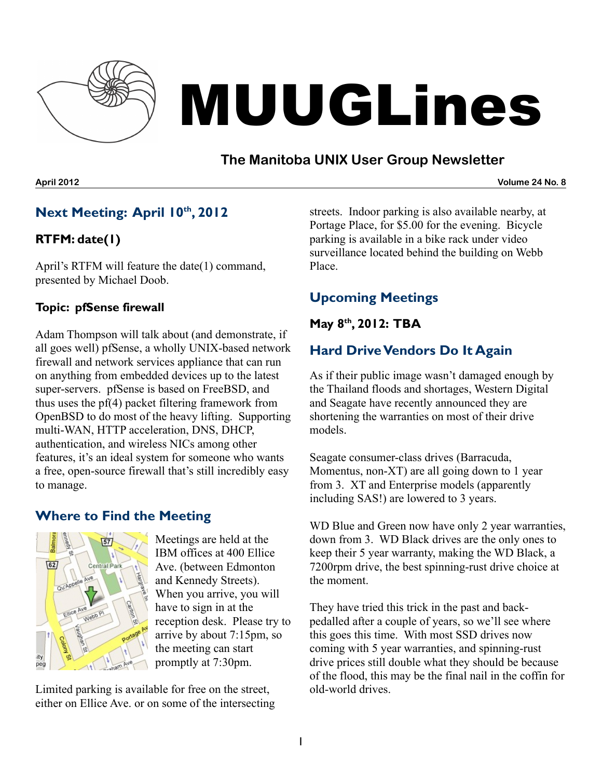

# MUUGLines

# **The Manitoba UNIX User Group Newsletter**

#### **April 2012 Volume 24 No. 8**

## **Next Meeting: April 10 th , 2012**

## **RTFM: date(1)**

April's RTFM will feature the date(1) command, presented by Michael Doob.

## **Topic: pfSense firewall**

Adam Thompson will talk about (and demonstrate, if all goes well) pfSense, a wholly UNIX-based network firewall and network services appliance that can run on anything from embedded devices up to the latest super-servers. pfSense is based on FreeBSD, and thus uses the pf(4) packet filtering framework from OpenBSD to do most of the heavy lifting. Supporting multi-WAN, HTTP acceleration, DNS, DHCP, authentication, and wireless NICs among other features, it's an ideal system for someone who wants a free, open-source firewall that's still incredibly easy to manage.

## **Where to Find the Meeting**



Meetings are held at the IBM offices at 400 Ellice Ave. (between Edmonton and Kennedy Streets). When you arrive, you will have to sign in at the reception desk. Please try to arrive by about 7:15pm, so the meeting can start promptly at 7:30pm.

Limited parking is available for free on the street, either on Ellice Ave. or on some of the intersecting streets. Indoor parking is also available nearby, at Portage Place, for \$5.00 for the evening. Bicycle parking is available in a bike rack under video surveillance located behind the building on Webb Place.

# **Upcoming Meetings**

## **May 8 th , 2012: TBA**

# **Hard DriveVendors Do It Again**

As if their public image wasn't damaged enough by the Thailand floods and shortages, Western Digital and Seagate have recently announced they are shortening the warranties on most of their drive models.

Seagate consumer-class drives (Barracuda, Momentus, non-XT) are all going down to 1 year from 3. XT and Enterprise models (apparently including SAS!) are lowered to 3 years.

WD Blue and Green now have only 2 year warranties, down from 3. WD Black drives are the only ones to keep their 5 year warranty, making the WD Black, a 7200rpm drive, the best spinning-rust drive choice at the moment.

They have tried this trick in the past and backpedalled after a couple of years, so we'll see where this goes this time. With most SSD drives now coming with 5 year warranties, and spinning-rust drive prices still double what they should be because of the flood, this may be the final nail in the coffin for old-world drives.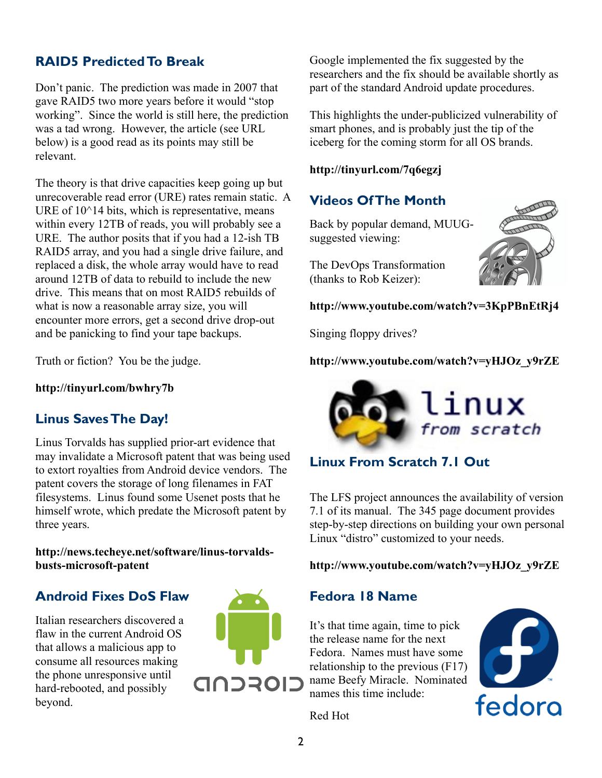## **RAID5 PredictedTo Break**

Don't panic. The prediction was made in 2007 that gave RAID5 two more years before it would "stop working". Since the world is still here, the prediction was a tad wrong. However, the article (see URL below) is a good read as its points may still be relevant.

The theory is that drive capacities keep going up but unrecoverable read error (URE) rates remain static. A URE of  $10^{\text{4}}$  bits, which is representative, means within every 12TB of reads, you will probably see a URE. The author posits that if you had a 12-ish TB RAID5 array, and you had a single drive failure, and replaced a disk, the whole array would have to read around 12TB of data to rebuild to include the new drive. This means that on most RAID5 rebuilds of what is now a reasonable array size, you will encounter more errors, get a second drive drop-out and be panicking to find your tape backups.

Truth or fiction? You be the judge.

**<http://tinyurl.com/bwhry7b>**

## **Linus SavesThe Day!**

Linus Torvalds has supplied prior-art evidence that may invalidate a Microsoft patent that was being used to extort royalties from Android device vendors. The patent covers the storage of long filenames in FAT filesystems. Linus found some Usenet posts that he himself wrote, which predate the Microsoft patent by three years.

**[http://news.techeye.net/software/linus-torvalds](http://news.techeye.net/software/linus-torvalds-busts-microsoft-patent)[busts-microsoft-patent](http://news.techeye.net/software/linus-torvalds-busts-microsoft-patent)**

## **Android Fixes DoS Flaw**

Italian researchers discovered a flaw in the current Android OS that allows a malicious app to consume all resources making the phone unresponsive until hard-rebooted, and possibly beyond.



Google implemented the fix suggested by the researchers and the fix should be available shortly as part of the standard Android update procedures.

This highlights the under-publicized vulnerability of smart phones, and is probably just the tip of the iceberg for the coming storm for all OS brands.

#### **http://tinyurl.com/7q6egzj**

## **Videos OfThe Month**

Back by popular demand, MUUGsuggested viewing:

The DevOps Transformation (thanks to Rob Keizer):



#### **<http://www.youtube.com/watch?v=3KpPBnEtRj4>**

Singing floppy drives?

**[http://www.youtube.com/watch?v=yHJOz\\_y9rZE](http://www.youtube.com/watch?v=yHJOz_y9rZE)**



## **Linux From Scratch 7.1 Out**

The LFS project announces the availability of version 7.1 of its manual. The 345 page document provides step-by-step directions on building your own personal Linux "distro" customized to your needs.

**[http://www.youtube.com/watch?v=yHJOz\\_y9rZE](http://www.youtube.com/watch?v=yHJOz_y9rZE)**

#### **Fedora 18 Name**

It's that time again, time to pick the release name for the next Fedora. Names must have some relationship to the previous (F17) name Beefy Miracle. Nominated names this time include:



Red Hot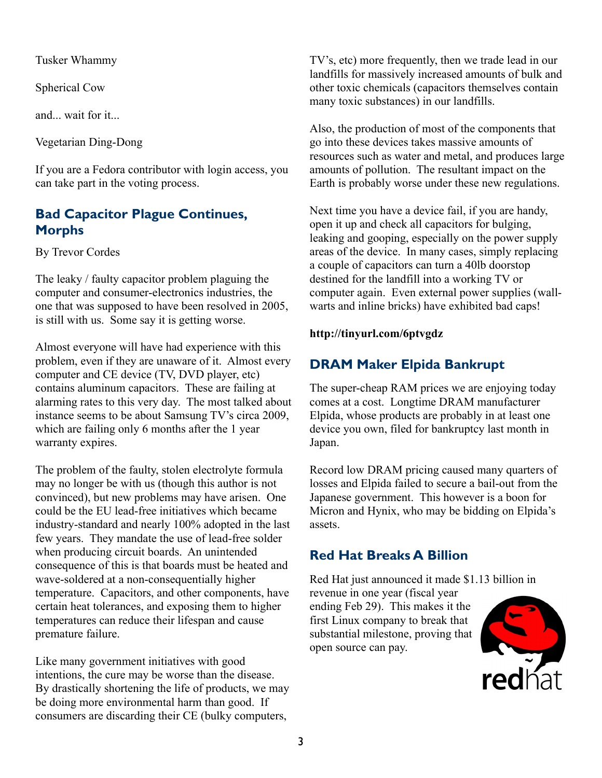Tusker Whammy

Spherical Cow

and wait for it...

Vegetarian Ding-Dong

If you are a Fedora contributor with login access, you can take part in the voting process.

## **Bad Capacitor Plague Continues, Morphs**

By Trevor Cordes

The leaky / faulty capacitor problem plaguing the computer and consumer-electronics industries, the one that was supposed to have been resolved in 2005, is still with us. Some say it is getting worse.

Almost everyone will have had experience with this problem, even if they are unaware of it. Almost every computer and CE device (TV, DVD player, etc) contains aluminum capacitors. These are failing at alarming rates to this very day. The most talked about instance seems to be about Samsung TV's circa 2009, which are failing only 6 months after the 1 year warranty expires.

The problem of the faulty, stolen electrolyte formula may no longer be with us (though this author is not convinced), but new problems may have arisen. One could be the EU lead-free initiatives which became industry-standard and nearly 100% adopted in the last few years. They mandate the use of lead-free solder when producing circuit boards. An unintended consequence of this is that boards must be heated and wave-soldered at a non-consequentially higher temperature. Capacitors, and other components, have certain heat tolerances, and exposing them to higher temperatures can reduce their lifespan and cause premature failure.

Like many government initiatives with good intentions, the cure may be worse than the disease. By drastically shortening the life of products, we may be doing more environmental harm than good. If consumers are discarding their CE (bulky computers,

TV's, etc) more frequently, then we trade lead in our landfills for massively increased amounts of bulk and other toxic chemicals (capacitors themselves contain many toxic substances) in our landfills.

Also, the production of most of the components that go into these devices takes massive amounts of resources such as water and metal, and produces large amounts of pollution. The resultant impact on the Earth is probably worse under these new regulations.

Next time you have a device fail, if you are handy, open it up and check all capacitors for bulging, leaking and gooping, especially on the power supply areas of the device. In many cases, simply replacing a couple of capacitors can turn a 40lb doorstop destined for the landfill into a working TV or computer again. Even external power supplies (wallwarts and inline bricks) have exhibited bad caps!

## **<http://tinyurl.com/6ptvgdz>**

# **DRAM Maker Elpida Bankrupt**

The super-cheap RAM prices we are enjoying today comes at a cost. Longtime DRAM manufacturer Elpida, whose products are probably in at least one device you own, filed for bankruptcy last month in Japan.

Record low DRAM pricing caused many quarters of losses and Elpida failed to secure a bail-out from the Japanese government. This however is a boon for Micron and Hynix, who may be bidding on Elpida's assets.

# **Red Hat Breaks A Billion**

Red Hat just announced it made \$1.13 billion in

revenue in one year (fiscal year ending Feb 29). This makes it the first Linux company to break that substantial milestone, proving that open source can pay.